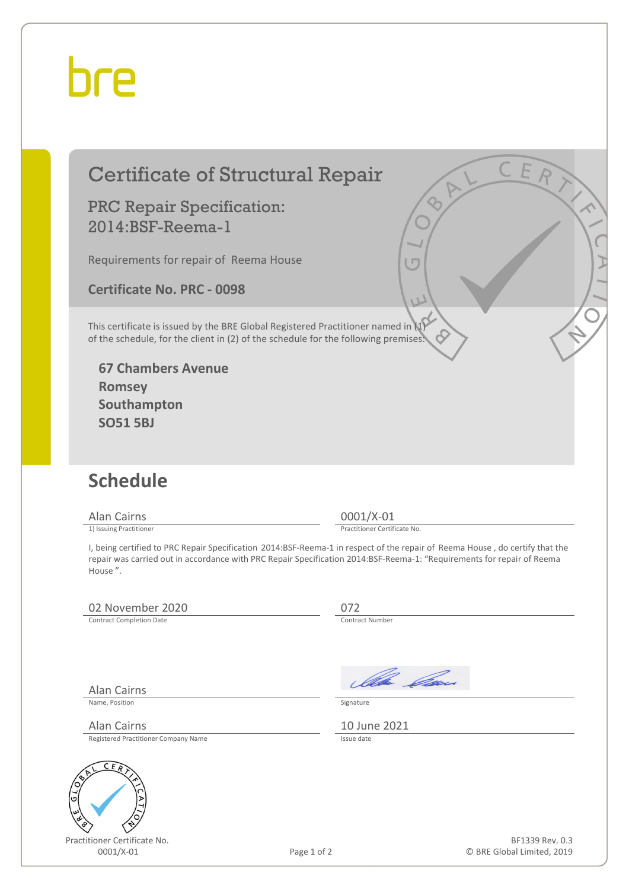## hre

### Certificate of Structural Repair

#### PRC Repair Specification: 2014:BSF-Reema-1

Requirements for repair of Reema House

**Certificate No. PRC - 0098**

This certificate is issued by the BRE Global Registered Practitioner named in (1) of the schedule, for the client in (2) of the schedule for the following premises:

**67 Chambers Avenue Romsey Southampton SO51 5BJ**

### **Schedule**

Alan Cairns 0001/X-01<br>
1) Issuing Practitioner<br>
1) Issuing Practitioner

Practitioner Certificate No.

I, being certified to PRC Repair Specification 2014:BSF-Reema-1 in respect of the repair of Reema House , do certify that the repair was carried out in accordance with PRC Repair Specification 2014:BSF-Reema-1: "Requirements for repair of Reema House ".

#### 02 November 2020 072<br>
Contract Completion Date Contract Number

Contract Completion Date

Alan Cairns

Name, Position Signature

Alan Cairns 10 June 2021<br>Registered Practitioner Company Name Registered Practitioner Company Name



Practitioner Certificate No.

Illa Can